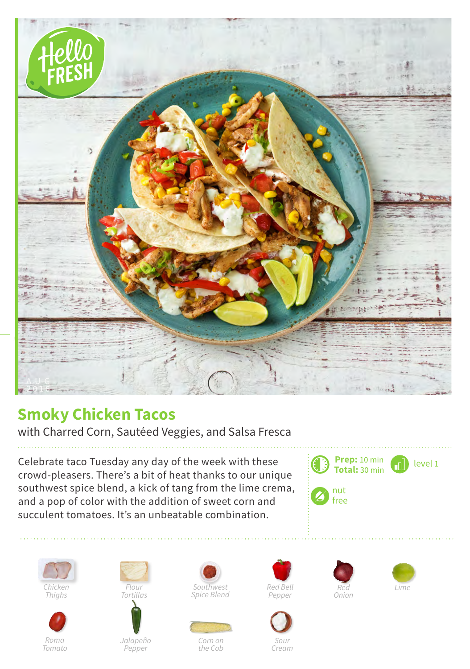

## **Smoky Chicken Tacos**

with Charred Corn, Sautéed Veggies, and Salsa Fresca

Celebrate taco Tuesday any day of the week with these crowd-pleasers. There's a bit of heat thanks to our unique southwest spice blend, a kick of tang from the lime crema, and a pop of color with the addition of sweet corn and succulent tomatoes. It's an unbeatable combination.













*Jalapeño Pepper*





*Corn on the Cob*